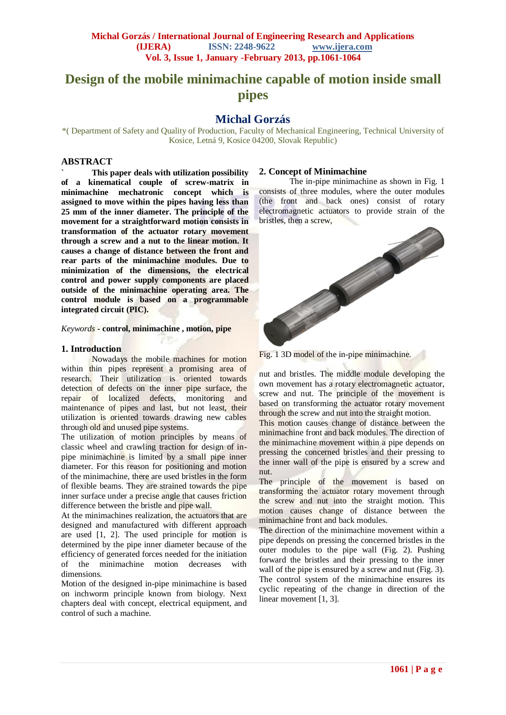# **Design of the mobile minimachine capable of motion inside small pipes**

## **Michal Gorzás**

\*( Department of Safety and Quality of Production, Faculty of Mechanical Engineering, Technical University of Kosice, Letná 9, Kosice 04200, Slovak Republic)

#### **ABSTRACT**

**` This paper deals with utilization possibility of a kinematical couple of screw-matrix in minimachine mechatronic concept which is assigned to move within the pipes having less than 25 mm of the inner diameter. The principle of the movement for a straightforward motion consists in transformation of the actuator rotary movement through a screw and a nut to the linear motion. It causes a change of distance between the front and rear parts of the minimachine modules. Due to minimization of the dimensions, the electrical control and power supply components are placed outside of the minimachine operating area. The control module is based on a programmable integrated circuit (PIC).**

*Keywords* **- control, minimachine , motion, pipe** 

#### **1. Introduction**

Nowadays the mobile machines for motion within thin pipes represent a promising area of research. Their utilization is oriented towards detection of defects on the inner pipe surface, the repair of localized defects, monitoring and maintenance of pipes and last, but not least, their utilization is oriented towards drawing new cables through old and unused pipe systems.

The utilization of motion principles by means of classic wheel and crawling traction for design of inpipe minimachine is limited by a small pipe inner diameter. For this reason for positioning and motion of the minimachine, there are used bristles in the form of flexible beams. They are strained towards the pipe inner surface under a precise angle that causes friction difference between the bristle and pipe wall.

At the minimachines realization, the actuators that are designed and manufactured with different approach are used [1, 2]. The used principle for motion is determined by the pipe inner diameter because of the efficiency of generated forces needed for the initiation of the minimachine motion decreases with dimensions.

Motion of the designed in-pipe minimachine is based on inchworm principle known from biology. Next chapters deal with concept, electrical equipment, and control of such a machine.

#### **2. Concept of Minimachine**

The in-pipe minimachine as shown in Fig. 1 consists of three modules, where the outer modules (the front and back ones) consist of rotary electromagnetic actuators to provide strain of the





nut and bristles. The middle module developing the own movement has a rotary electromagnetic actuator, screw and nut. The principle of the movement is based on transforming the actuator rotary movement through the screw and nut into the straight motion.

This motion causes change of distance between the minimachine front and back modules. The direction of the minimachine movement within a pipe depends on pressing the concerned bristles and their pressing to the inner wall of the pipe is ensured by a screw and nut.

The principle of the movement is based on transforming the actuator rotary movement through the screw and nut into the straight motion. This motion causes change of distance between the minimachine front and back modules.

The direction of the minimachine movement within a pipe depends on pressing the concerned bristles in the outer modules to the pipe wall (Fig. 2). Pushing forward the bristles and their pressing to the inner wall of the pipe is ensured by a screw and nut (Fig. 3). The control system of the minimachine ensures its cyclic repeating of the change in direction of the linear movement [1, 3].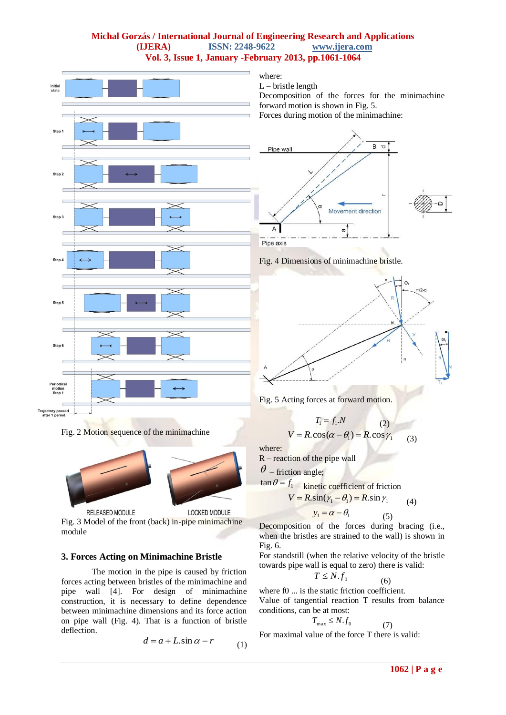## **Michal Gorzás / International Journal of Engineering Research and Applications (IJERA) ISSN: 2248-9622 www.ijera.com Vol. 3, Issue 1, January -February 2013, pp.1061-1064**



Fig. 2 Motion sequence of the minimachine



Fig. 3 Model of the front (back) in-pipe minimachine module

## **3. Forces Acting on Minimachine Bristle**

The motion in the pipe is caused by friction forces acting between bristles of the minimachine and pipe wall [4]. For design of minimachine construction, it is necessary to define dependence between minimachine dimensions and its force action on pipe wall (Fig. 4). That is a function of bristle deflection.

$$
d = a + L \sin \alpha - r \tag{1}
$$

where:

 $L$  – bristle length

Decomposition of the forces for the minimachine forward motion is shown in Fig. 5.

Forces during motion of the minimachine:









$$
T_1 = f_1.N
$$
\n
$$
V = R \cdot \cos(\alpha - \theta_1) = R \cdot \cos \gamma_1
$$
\n(3)

where:

R – reaction of the pipe wall

 $\theta$  – friction angle;

$$
\tan \theta = f_1 - \text{kinetic coefficient of friction}
$$

$$
V = R \cdot \sin(\gamma_1 - \theta_1) = R \cdot \sin \gamma_1 \tag{4}
$$
  

$$
y_1 = \alpha - \theta_1 \tag{5}
$$

 (5) Decomposition of the forces during bracing (i.e., when the bristles are strained to the wall) is shown in Fig. 6.

For standstill (when the relative velocity of the bristle towards pipe wall is equal to zero) there is valid:

$$
T \leq N.f_0
$$

 (6) where f0 ... is the static friction coefficient.

Value of tangential reaction T results from balance conditions, can be at most:

$$
T_{\max} \leq N.f_0
$$

(7)

For maximal value of the force T there is valid: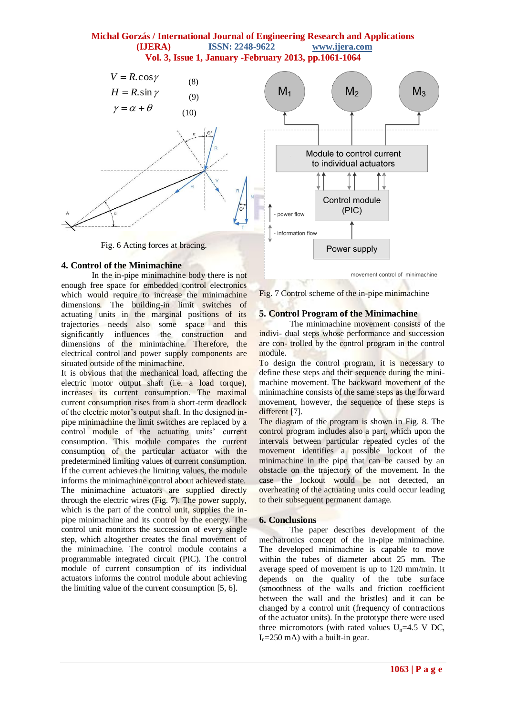## **Michal Gorzás / International Journal of Engineering Research and Applications (IJERA) ISSN: 2248-9622 www.ijera.com Vol. 3, Issue 1, January -February 2013, pp.1061-1064**



**4. Control of the Minimachine**

In the in-pipe minimachine body there is not enough free space for embedded control electronics which would require to increase the minimachine dimensions. The building-in limit switches of actuating units in the marginal positions of its trajectories needs also some space and this significantly influences the construction and dimensions of the minimachine. Therefore, the electrical control and power supply components are situated outside of the minimachine.

It is obvious that the mechanical load, affecting the electric motor output shaft (i.e. a load torque), increases its current consumption. The maximal current consumption rises from a short-term deadlock of the electric motor's output shaft. In the designed inpipe minimachine the limit switches are replaced by a control module of the actuating units' current consumption. This module compares the current consumption of the particular actuator with the predetermined limiting values of current consumption. If the current achieves the limiting values, the module informs the minimachine control about achieved state. The minimachine actuators are supplied directly through the electric wires (Fig. 7). The power supply, which is the part of the control unit, supplies the inpipe minimachine and its control by the energy. The control unit monitors the succession of every single step, which altogether creates the final movement of the minimachine. The control module contains a programmable integrated circuit (PIC). The control module of current consumption of its individual actuators informs the control module about achieving the limiting value of the current consumption [5, 6].

Fig. 7 Control scheme of the in-pipe minimachine

#### **5. Control Program of the Minimachine**

The minimachine movement consists of the indivi- dual steps whose performance and succession are con- trolled by the control program in the control module.

To design the control program, it is necessary to define these steps and their sequence during the minimachine movement. The backward movement of the minimachine consists of the same steps as the forward movement, however, the sequence of these steps is different [7].

The diagram of the program is shown in Fig. 8. The control program includes also a part, which upon the intervals between particular repeated cycles of the movement identifies a possible lockout of the minimachine in the pipe that can be caused by an obstacle on the trajectory of the movement. In the case the lockout would be not detected, an overheating of the actuating units could occur leading to their subsequent permanent damage.

## **6. Conclusions**

The paper describes development of the mechatronics concept of the in-pipe minimachine. The developed minimachine is capable to move within the tubes of diameter about 25 mm. The average speed of movement is up to 120 mm/min. It depends on the quality of the tube surface (smoothness of the walls and friction coefficient between the wall and the bristles) and it can be changed by a control unit (frequency of contractions of the actuator units). In the prototype there were used three micromotors (with rated values  $U_n=4.5$  V DC,  $I_n = 250$  mA) with a built-in gear.